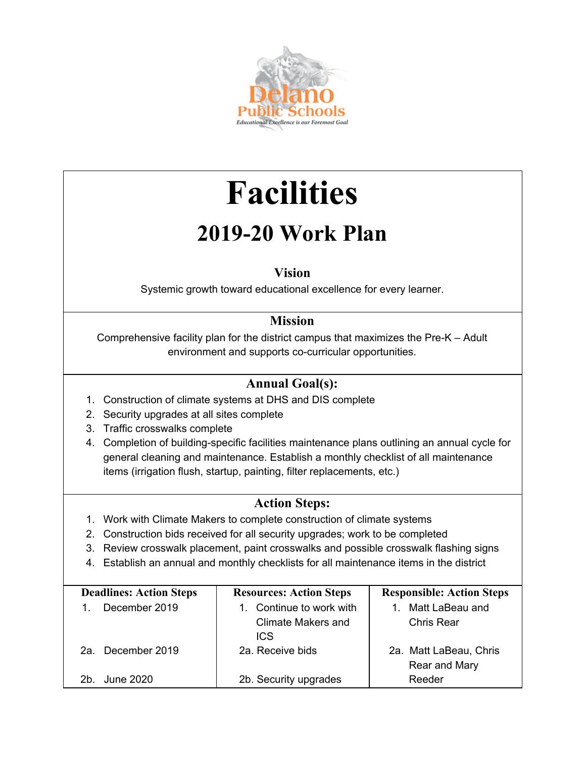

# **Facilities**

## **2019-20 Work Plan**

### **Vision**

Systemic growth toward educational excellence for every learner.

#### **Mission**

Comprehensive facility plan for the district campus that maximizes the Pre-K – Adult environment and supports co-curricular opportunities.

#### **Annual Goal(s):**

- 1. Construction of climate systems at DHS and DIS complete
- 2. Security upgrades at all sites complete
- 3. Traffic crosswalks complete
- 4. Completion of building-specific facilities maintenance plans outlining an annual cycle for general cleaning and maintenance. Establish a monthly checklist of all maintenance items (irrigation flush, startup, painting, filter replacements, etc.)

#### **Action Steps:**

- 1. Work with Climate Makers to complete construction of climate systems
- 2. Construction bids received for all security upgrades; work to be completed
- 3. Review crosswalk placement, paint crosswalks and possible crosswalk flashing signs
- 4. Establish an annual and monthly checklists for all maintenance items in the district

| <b>Deadlines: Action Steps</b> | <b>Resources: Action Steps</b>   | <b>Responsible: Action Steps</b> |
|--------------------------------|----------------------------------|----------------------------------|
| December 2019                  | Continue to work with<br>1.      | Matt LaBeau and                  |
|                                | Climate Makers and<br><b>ICS</b> | <b>Chris Rear</b>                |
| 2a. December 2019              | 2a. Receive bids                 | 2a. Matt LaBeau, Chris           |
|                                |                                  | Rear and Mary                    |
| 2b. June 2020                  | 2b. Security upgrades            | Reeder                           |